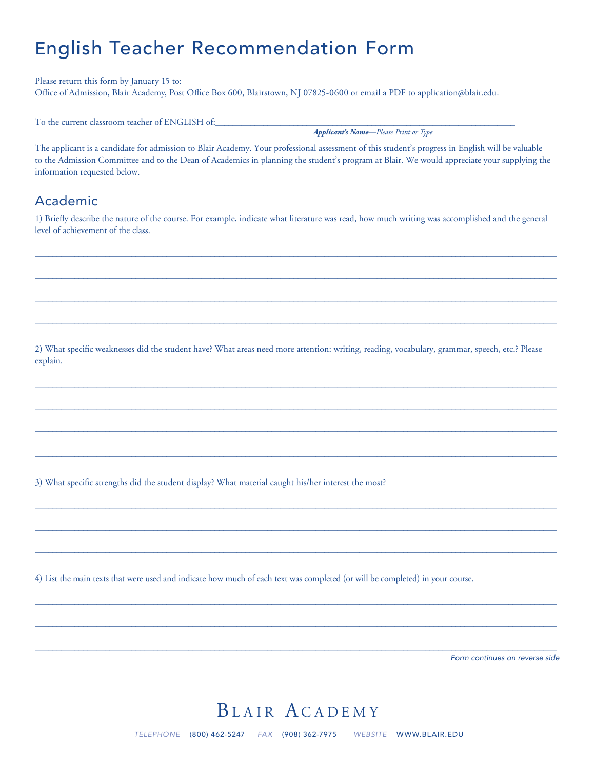# English Teacher Recommendation Form

Please return this form by January 15 to: Office of Admission, Blair Academy, Post Office Box 600, Blairstown, NJ 07825-0600 or email a PDF to application@blair.edu.

To the current classroom teacher of ENGLISH of:

*Applicant's Name—Please Print or Type*

The applicant is a candidate for admission to Blair Academy. Your professional assessment of this student's progress in English will be valuable to the Admission Committee and to the Dean of Academics in planning the student's program at Blair. We would appreciate your supplying the information requested below.

#### Academic

1) Briefly describe the nature of the course. For example, indicate what literature was read, how much writing was accomplished and the general level of achievement of the class.

 $\_$  , and the state of the state of the state of the state of the state of the state of the state of the state of the state of the state of the state of the state of the state of the state of the state of the state of the

 $\_$  , and the set of the set of the set of the set of the set of the set of the set of the set of the set of the set of the set of the set of the set of the set of the set of the set of the set of the set of the set of th

 $\_$  , and the state of the state of the state of the state of the state of the state of the state of the state of the state of the state of the state of the state of the state of the state of the state of the state of the

 $\_$  , and the state of the state of the state of the state of the state of the state of the state of the state of the state of the state of the state of the state of the state of the state of the state of the state of the

 $\_$  , and the set of the set of the set of the set of the set of the set of the set of the set of the set of the set of the set of the set of the set of the set of the set of the set of the set of the set of the set of th

 $\_$  , and the state of the state of the state of the state of the state of the state of the state of the state of the state of the state of the state of the state of the state of the state of the state of the state of the

 $\_$  , and the state of the state of the state of the state of the state of the state of the state of the state of the state of the state of the state of the state of the state of the state of the state of the state of the

 $\_$  , and the set of the set of the set of the set of the set of the set of the set of the set of the set of the set of the set of the set of the set of the set of the set of the set of the set of the set of the set of th

 $\_$  , and the state of the state of the state of the state of the state of the state of the state of the state of the state of the state of the state of the state of the state of the state of the state of the state of the

 $\_$  , and the state of the state of the state of the state of the state of the state of the state of the state of the state of the state of the state of the state of the state of the state of the state of the state of the

 $\_$  , and the set of the set of the set of the set of the set of the set of the set of the set of the set of the set of the set of the set of the set of the set of the set of the set of the set of the set of the set of th

 $\_$  , and the state of the state of the state of the state of the state of the state of the state of the state of the state of the state of the state of the state of the state of the state of the state of the state of the

 $\_$  , and the state of the state of the state of the state of the state of the state of the state of the state of the state of the state of the state of the state of the state of the state of the state of the state of the

 $\_$  , and the state of the state of the state of the state of the state of the state of the state of the state of the state of the state of the state of the state of the state of the state of the state of the state of the

2) What specific weaknesses did the student have? What areas need more attention: writing, reading, vocabulary, grammar, speech, etc.? Please explain.

3) What specific strengths did the student display? What material caught his/her interest the most?

4) List the main texts that were used and indicate how much of each text was completed (or will be completed) in your course.

*Form continues on reverse side*

## BLAIR ACADEMY

*TELEPHONE* (800) 462-5247 *FAX* (908) 362-7975 *WEBSITE* WWW.BLAIR.EDU